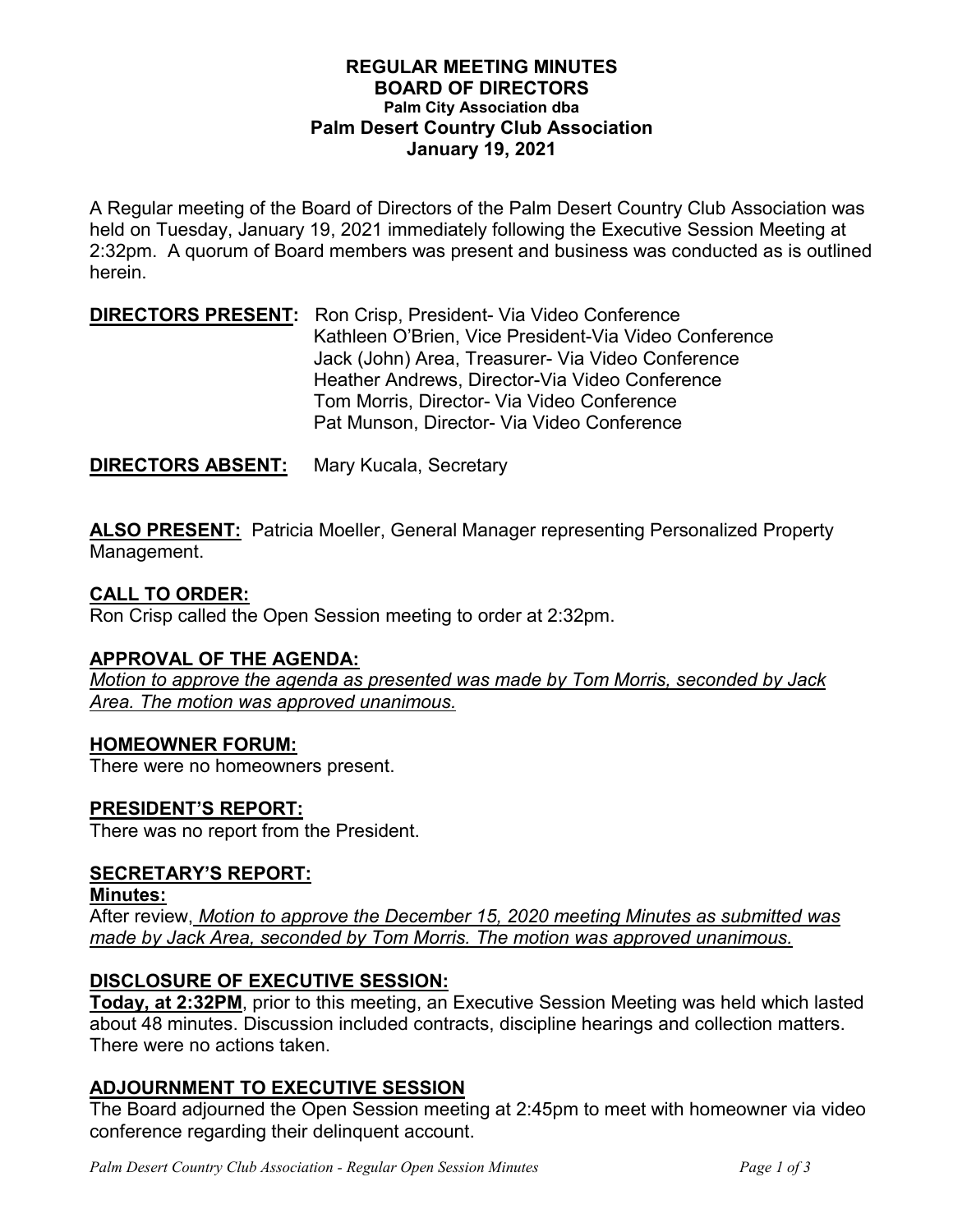### **REGULAR MEETING MINUTES BOARD OF DIRECTORS Palm City Association dba Palm Desert Country Club Association January 19, 2021**

A Regular meeting of the Board of Directors of the Palm Desert Country Club Association was held on Tuesday, January 19, 2021 immediately following the Executive Session Meeting at 2:32pm. A quorum of Board members was present and business was conducted as is outlined herein.

## **DIRECTORS PRESENT:** Ron Crisp, President- Via Video Conference Kathleen O'Brien, Vice President-Via Video Conference Jack (John) Area, Treasurer- Via Video Conference Heather Andrews, Director-Via Video Conference Tom Morris, Director- Via Video Conference Pat Munson, Director- Via Video Conference

**DIRECTORS ABSENT:** Mary Kucala, Secretary

**ALSO PRESENT:** Patricia Moeller, General Manager representing Personalized Property Management.

## **CALL TO ORDER:**

Ron Crisp called the Open Session meeting to order at 2:32pm.

## **APPROVAL OF THE AGENDA:**

*Motion to approve the agenda as presented was made by Tom Morris, seconded by Jack Area. The motion was approved unanimous.*

## **HOMEOWNER FORUM:**

There were no homeowners present.

## **PRESIDENT'S REPORT:**

There was no report from the President.

# **SECRETARY'S REPORT:**

**Minutes:**

After review, *Motion to approve the December 15, 2020 meeting Minutes as submitted was made by Jack Area, seconded by Tom Morris. The motion was approved unanimous.* 

# **DISCLOSURE OF EXECUTIVE SESSION:**

**Today, at 2:32PM**, prior to this meeting, an Executive Session Meeting was held which lasted about 48 minutes. Discussion included contracts, discipline hearings and collection matters. There were no actions taken.

# **ADJOURNMENT TO EXECUTIVE SESSION**

The Board adjourned the Open Session meeting at 2:45pm to meet with homeowner via video conference regarding their delinquent account.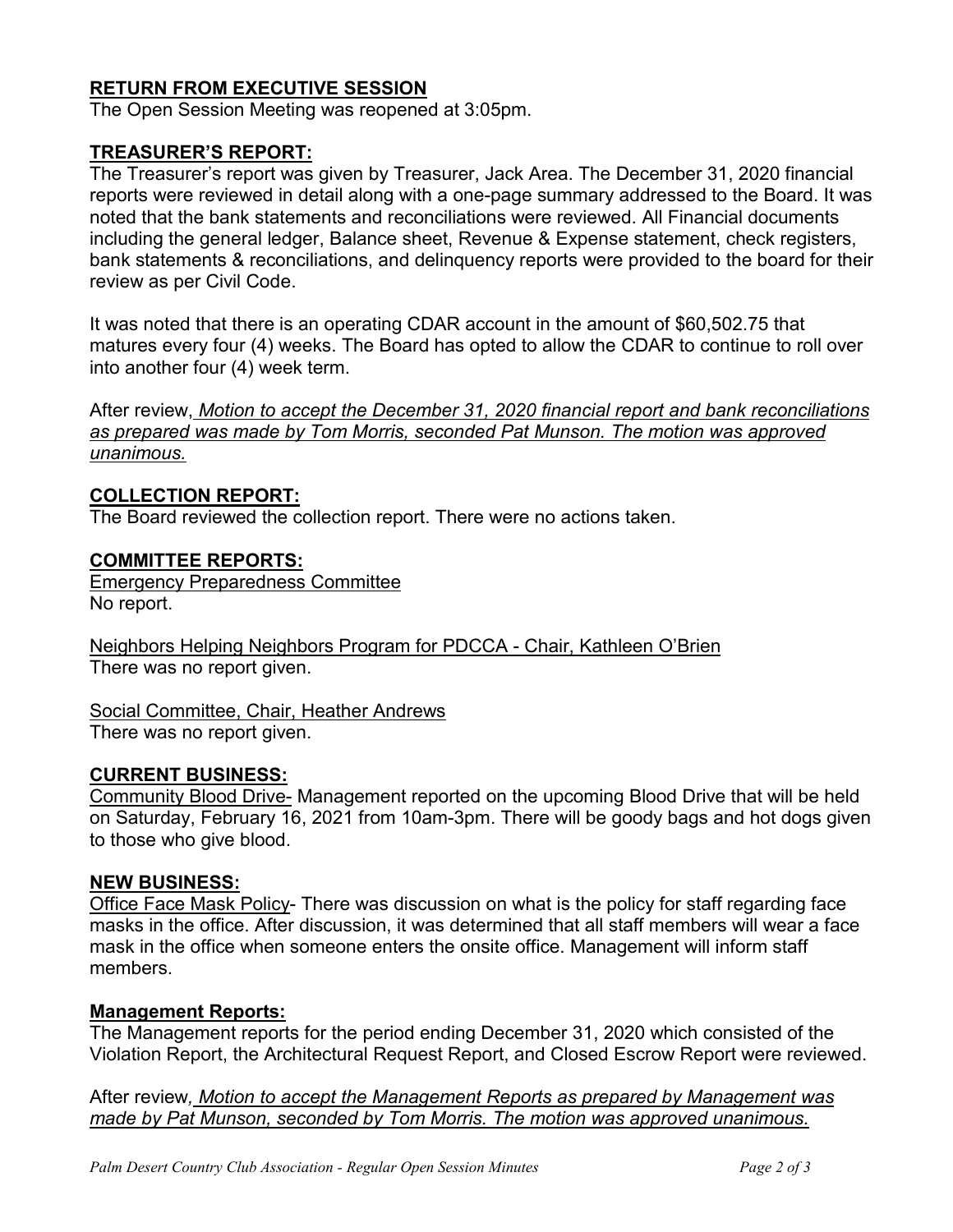# **RETURN FROM EXECUTIVE SESSION**

The Open Session Meeting was reopened at 3:05pm.

### **TREASURER'S REPORT:**

The Treasurer's report was given by Treasurer, Jack Area. The December 31, 2020 financial reports were reviewed in detail along with a one-page summary addressed to the Board. It was noted that the bank statements and reconciliations were reviewed. All Financial documents including the general ledger, Balance sheet, Revenue & Expense statement, check registers, bank statements & reconciliations, and delinquency reports were provided to the board for their review as per Civil Code.

It was noted that there is an operating CDAR account in the amount of \$60,502.75 that matures every four (4) weeks. The Board has opted to allow the CDAR to continue to roll over into another four (4) week term.

After review, *Motion to accept the December 31, 2020 financial report and bank reconciliations as prepared was made by Tom Morris, seconded Pat Munson. The motion was approved unanimous.* 

### **COLLECTION REPORT:**

The Board reviewed the collection report. There were no actions taken.

#### **COMMITTEE REPORTS:**

Emergency Preparedness Committee No report.

Neighbors Helping Neighbors Program for PDCCA - Chair, Kathleen O'Brien There was no report given.

Social Committee, Chair, Heather Andrews There was no report given.

#### **CURRENT BUSINESS:**

Community Blood Drive- Management reported on the upcoming Blood Drive that will be held on Saturday, February 16, 2021 from 10am-3pm. There will be goody bags and hot dogs given to those who give blood.

#### **NEW BUSINESS:**

Office Face Mask Policy- There was discussion on what is the policy for staff regarding face masks in the office. After discussion, it was determined that all staff members will wear a face mask in the office when someone enters the onsite office. Management will inform staff members.

#### **Management Reports:**

The Management reports for the period ending December 31, 2020 which consisted of the Violation Report, the Architectural Request Report, and Closed Escrow Report were reviewed.

After review*, Motion to accept the Management Reports as prepared by Management was made by Pat Munson, seconded by Tom Morris. The motion was approved unanimous.*